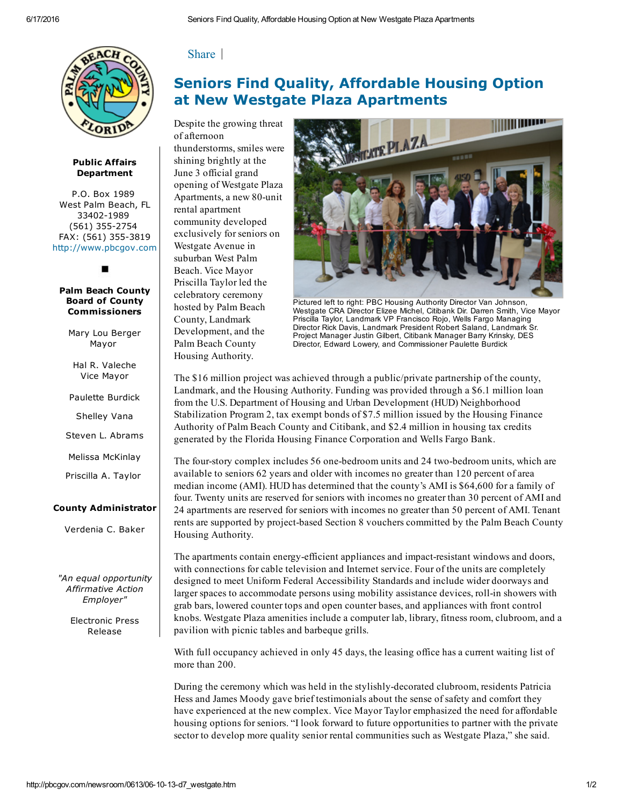## [Share](http://www.addthis.com/bookmark.php?v=250&username=pbcgov) |



### Public Affairs Department

P.O. Box 1989 West Palm Beach, FL 33402-1989 (561) 355-2754 FAX: (561) 355-3819 [http://www.pbcgov.com](http://pbcgov.com/)

### Palm Beach County Board of County Commissioners

Mary Lou Berger Mayor

Hal R. Valeche Vice Mayor

Paulette Burdick

Shelley Vana

Steven L. Abrams

Melissa McKinlay

Priscilla A. Taylor

#### County Administrator

Verdenia C. Baker

*"An equal opportunity Affirmative Action Employer"*

> Electronic Press Release

# Seniors Find Quality, Affordable Housing Option at New Westgate Plaza Apartments

Despite the growing threat of afternoon thunderstorms, smiles were shining brightly at the June 3 official grand opening of Westgate Plaza Apartments, a new 80-unit rental apartment community developed exclusively for seniors on Westgate Avenue in suburban West Palm Beach. Vice Mayor Priscilla Taylor led the celebratory ceremony hosted by Palm Beach County, Landmark Development, and the Palm Beach County Housing Authority.



Pictured left to right: PBC Housing Authority Director Van [Johnson,](http://pbcgov.com/newsroom/0613/_images/d7_westgate_1.jpg) Westgate CRA Director Elizee Michel, Citibank Dir. Darren Smith, Vice Mayor Priscilla Taylor, Landmark VP Francisco Rojo, Wells Fargo Managing Director Rick Davis, Landmark President Robert Saland, Landmark Sr. Project Manager Justin Gilbert, Citibank Manager Barry Krinsky, DES Director, Edward Lowery, and Commissioner Paulette Burdick

The \$16 million project was achieved through a public/private partnership of the county, Landmark, and the Housing Authority. Funding was provided through a \$6.1 million loan from the U.S. Department of Housing and Urban Development (HUD) Neighborhood Stabilization Program 2, tax exempt bonds of \$7.5 million issued by the Housing Finance Authority of Palm Beach County and Citibank, and \$2.4 million in housing tax credits generated by the Florida Housing Finance Corporation and Wells Fargo Bank.

The four-story complex includes 56 one-bedroom units and 24 two-bedroom units, which are available to seniors 62 years and older with incomes no greater than 120 percent of area median income (AMI). HUD has determined that the county's AMI is \$64,600 for a family of four. Twenty units are reserved for seniors with incomes no greater than 30 percent of AMI and 24 apartments are reserved for seniors with incomes no greater than 50 percent of AMI. Tenant rents are supported by project-based Section 8 vouchers committed by the Palm Beach County Housing Authority.

The apartments contain energy-efficient appliances and impact-resistant windows and doors, with connections for cable television and Internet service. Four of the units are completely designed to meet Uniform Federal Accessibility Standards and include wider doorways and larger spaces to accommodate persons using mobility assistance devices, roll-in showers with grab bars, lowered counter tops and open counter bases, and appliances with front control knobs. Westgate Plaza amenities include a computer lab, library, fitness room, clubroom, and a pavilion with picnic tables and barbeque grills.

With full occupancy achieved in only 45 days, the leasing office has a current waiting list of more than 200.

During the ceremony which was held in the stylishly-decorated clubroom, residents Patricia Hess and James Moody gave brief testimonials about the sense of safety and comfort they have experienced at the new complex. Vice Mayor Taylor emphasized the need for affordable housing options for seniors. "I look forward to future opportunities to partner with the private sector to develop more quality senior rental communities such as Westgate Plaza," she said.